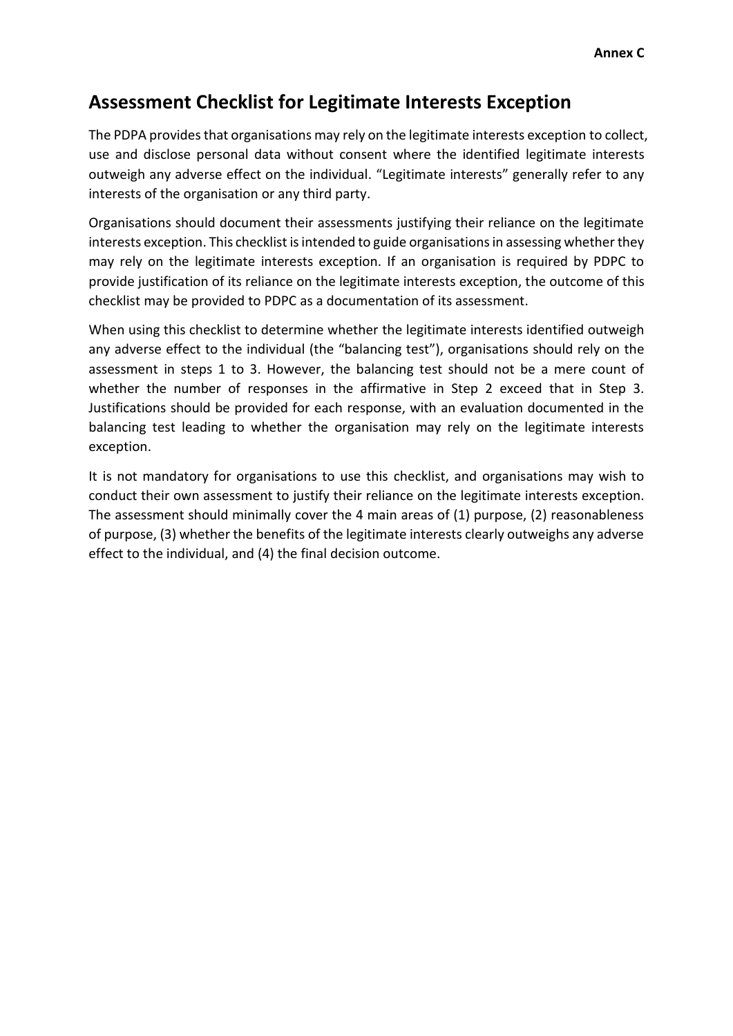## **Assessment Checklist for Legitimate Interests Exception**

The PDPA provides that organisations may rely on the legitimate interests exception to collect, use and disclose personal data without consent where the identified legitimate interests outweigh any adverse effect on the individual. "Legitimate interests" generally refer to any interests of the organisation or any third party.

Organisations should document their assessments justifying their reliance on the legitimate interests exception. This checklist is intended to guide organisations in assessing whether they may rely on the legitimate interests exception. If an organisation is required by PDPC to provide justification of its reliance on the legitimate interests exception, the outcome of this checklist may be provided to PDPC as a documentation of its assessment.

When using this checklist to determine whether the legitimate interests identified outweigh any adverse effect to the individual (the "balancing test"), organisations should rely on the assessment in steps 1 to 3. However, the balancing test should not be a mere count of whether the number of responses in the affirmative in Step 2 exceed that in Step 3. Justifications should be provided for each response, with an evaluation documented in the balancing test leading to whether the organisation may rely on the legitimate interests exception.

It is not mandatory for organisations to use this checklist, and organisations may wish to conduct their own assessment to justify their reliance on the legitimate interests exception. The assessment should minimally cover the 4 main areas of (1) purpose, (2) reasonableness of purpose, (3) whether the benefits of the legitimate interests clearly outweighs any adverse effect to the individual, and (4) the final decision outcome.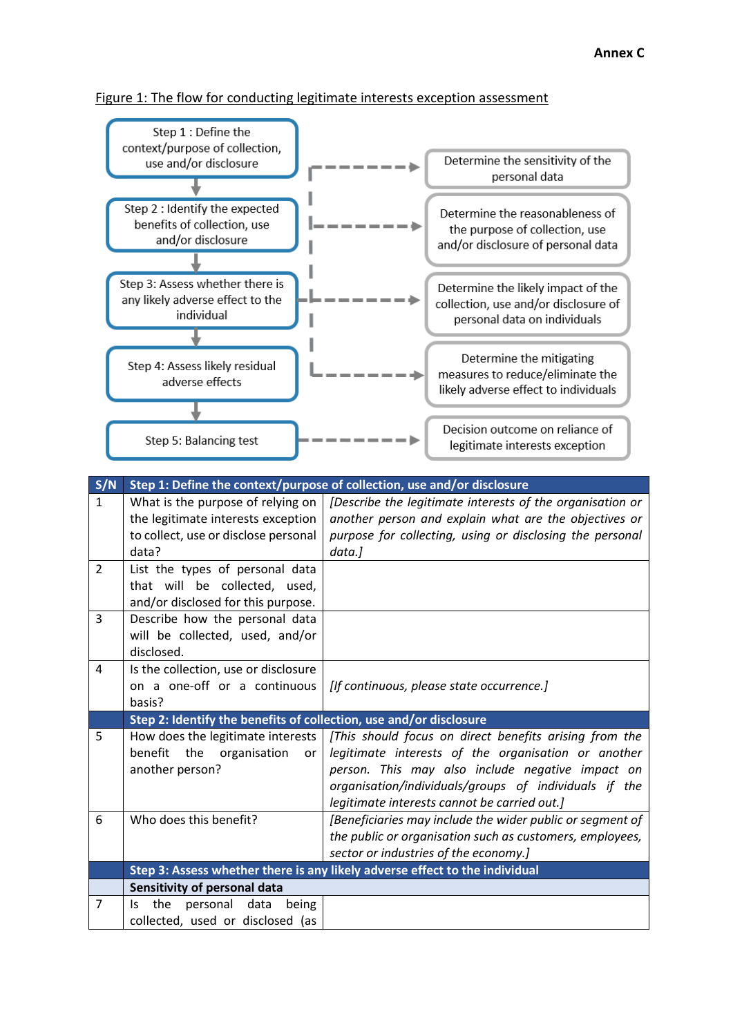## Figure 1: The flow for conducting legitimate interests exception assessment



| S/N            | Step 1: Define the context/purpose of collection, use and/or disclosure |                                                                             |  |  |  |
|----------------|-------------------------------------------------------------------------|-----------------------------------------------------------------------------|--|--|--|
| $\mathbf{1}$   | What is the purpose of relying on                                       | [Describe the legitimate interests of the organisation or                   |  |  |  |
|                | the legitimate interests exception                                      | another person and explain what are the objectives or                       |  |  |  |
|                | to collect, use or disclose personal                                    | purpose for collecting, using or disclosing the personal                    |  |  |  |
|                | data?                                                                   | data.]                                                                      |  |  |  |
| 2              | List the types of personal data                                         |                                                                             |  |  |  |
|                | that will be collected, used,                                           |                                                                             |  |  |  |
|                | and/or disclosed for this purpose.                                      |                                                                             |  |  |  |
| 3              | Describe how the personal data                                          |                                                                             |  |  |  |
|                | will be collected, used, and/or                                         |                                                                             |  |  |  |
|                | disclosed.                                                              |                                                                             |  |  |  |
| 4              | Is the collection, use or disclosure                                    |                                                                             |  |  |  |
|                | on a one-off or a continuous                                            | [If continuous, please state occurrence.]                                   |  |  |  |
|                | basis?                                                                  |                                                                             |  |  |  |
|                |                                                                         |                                                                             |  |  |  |
|                | Step 2: Identify the benefits of collection, use and/or disclosure      |                                                                             |  |  |  |
| 5              | How does the legitimate interests                                       | [This should focus on direct benefits arising from the                      |  |  |  |
|                | benefit<br>the<br>organisation<br>or                                    | legitimate interests of the organisation or another                         |  |  |  |
|                | another person?                                                         | person. This may also include negative impact on                            |  |  |  |
|                |                                                                         | organisation/individuals/groups of individuals if the                       |  |  |  |
|                |                                                                         | legitimate interests cannot be carried out.]                                |  |  |  |
| 6              | Who does this benefit?                                                  | [Beneficiaries may include the wider public or segment of                   |  |  |  |
|                |                                                                         | the public or organisation such as customers, employees,                    |  |  |  |
|                |                                                                         | sector or industries of the economy.]                                       |  |  |  |
|                |                                                                         | Step 3: Assess whether there is any likely adverse effect to the individual |  |  |  |
|                | Sensitivity of personal data                                            |                                                                             |  |  |  |
| $\overline{7}$ | the<br>personal<br>data<br>being<br>ls.                                 |                                                                             |  |  |  |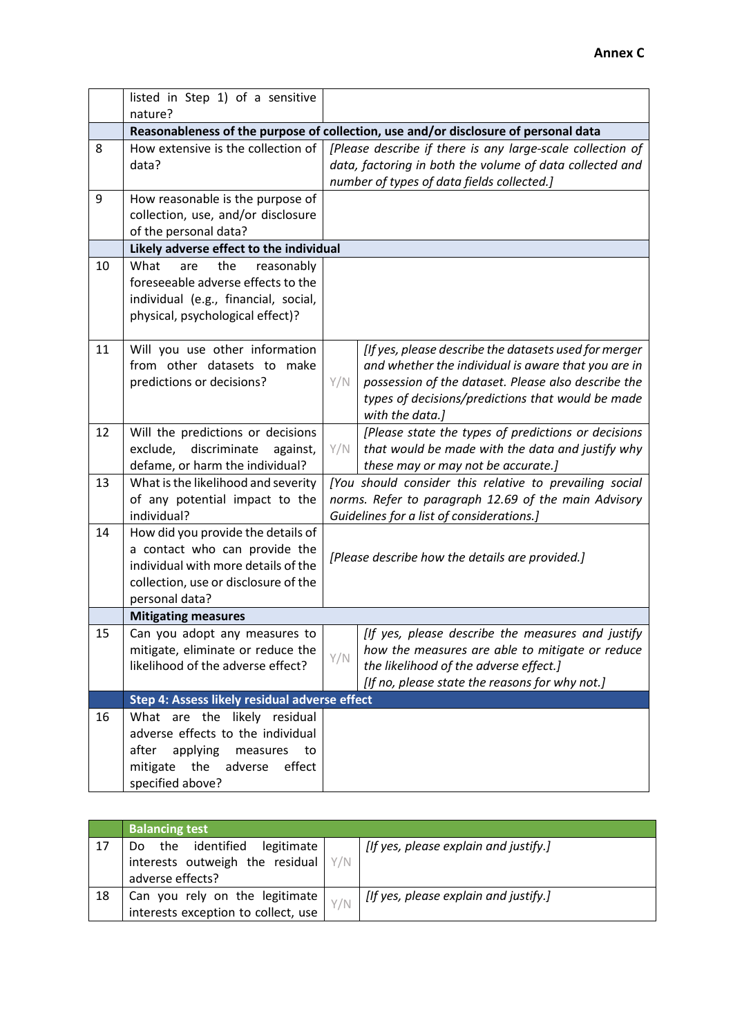|    | listed in Step 1) of a sensitive                                                                                                                                     |                                                                                                                                                                      |                                                                                                                                                                                                                                             |  |  |  |  |
|----|----------------------------------------------------------------------------------------------------------------------------------------------------------------------|----------------------------------------------------------------------------------------------------------------------------------------------------------------------|---------------------------------------------------------------------------------------------------------------------------------------------------------------------------------------------------------------------------------------------|--|--|--|--|
|    | nature?                                                                                                                                                              |                                                                                                                                                                      |                                                                                                                                                                                                                                             |  |  |  |  |
|    | Reasonableness of the purpose of collection, use and/or disclosure of personal data                                                                                  |                                                                                                                                                                      |                                                                                                                                                                                                                                             |  |  |  |  |
| 8  | How extensive is the collection of<br>data?                                                                                                                          | [Please describe if there is any large-scale collection of<br>data, factoring in both the volume of data collected and<br>number of types of data fields collected.] |                                                                                                                                                                                                                                             |  |  |  |  |
| 9  | How reasonable is the purpose of<br>collection, use, and/or disclosure<br>of the personal data?                                                                      |                                                                                                                                                                      |                                                                                                                                                                                                                                             |  |  |  |  |
|    |                                                                                                                                                                      | Likely adverse effect to the individual                                                                                                                              |                                                                                                                                                                                                                                             |  |  |  |  |
| 10 | What<br>are<br>the<br>reasonably<br>foreseeable adverse effects to the<br>individual (e.g., financial, social,<br>physical, psychological effect)?                   |                                                                                                                                                                      |                                                                                                                                                                                                                                             |  |  |  |  |
| 11 | Will you use other information<br>from other datasets to<br>make<br>predictions or decisions?                                                                        | Y/N                                                                                                                                                                  | [If yes, please describe the datasets used for merger<br>and whether the individual is aware that you are in<br>possession of the dataset. Please also describe the<br>types of decisions/predictions that would be made<br>with the data.] |  |  |  |  |
| 12 | Will the predictions or decisions<br>exclude,<br>discriminate<br>against,<br>defame, or harm the individual?                                                         | Y/N                                                                                                                                                                  | [Please state the types of predictions or decisions<br>that would be made with the data and justify why<br>these may or may not be accurate.]                                                                                               |  |  |  |  |
| 13 | What is the likelihood and severity<br>of any potential impact to the<br>individual?                                                                                 | [You should consider this relative to prevailing social<br>norms. Refer to paragraph 12.69 of the main Advisory<br>Guidelines for a list of considerations.]         |                                                                                                                                                                                                                                             |  |  |  |  |
| 14 | How did you provide the details of<br>a contact who can provide the<br>individual with more details of the<br>collection, use or disclosure of the<br>personal data? | [Please describe how the details are provided.]                                                                                                                      |                                                                                                                                                                                                                                             |  |  |  |  |
|    | <b>Mitigating measures</b>                                                                                                                                           |                                                                                                                                                                      |                                                                                                                                                                                                                                             |  |  |  |  |
| 15 | Can you adopt any measures to<br>mitigate, eliminate or reduce the<br>likelihood of the adverse effect?                                                              | Y/N                                                                                                                                                                  | [If yes, please describe the measures and justify<br>how the measures are able to mitigate or reduce<br>the likelihood of the adverse effect.]<br>[If no, please state the reasons for why not.]                                            |  |  |  |  |
|    | Step 4: Assess likely residual adverse effect                                                                                                                        |                                                                                                                                                                      |                                                                                                                                                                                                                                             |  |  |  |  |
| 16 | What are the likely residual<br>adverse effects to the individual<br>applying<br>after<br>measures<br>to<br>the<br>mitigate<br>adverse<br>effect<br>specified above? |                                                                                                                                                                      |                                                                                                                                                                                                                                             |  |  |  |  |

|    | <b>Balancing test</b>                                                                                    |     |                                       |
|----|----------------------------------------------------------------------------------------------------------|-----|---------------------------------------|
| 17 | the identified<br>legitimate<br>Do.<br>interests outweigh the residual $\frac{y}{N}$<br>adverse effects? |     | [If yes, please explain and justify.] |
| 18 | Can you rely on the legitimate $ $<br>interests exception to collect, use                                | Y/N | [If yes, please explain and justify.] |